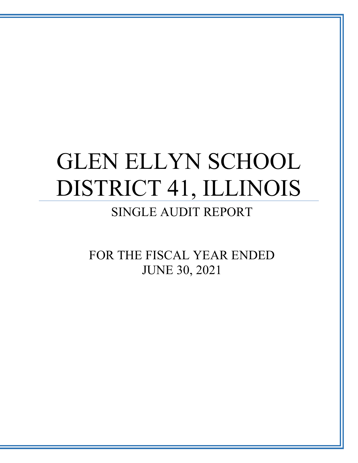# SINGLE AUDIT REPORT

FOR THE FISCAL YEAR ENDED JUNE 30, 2021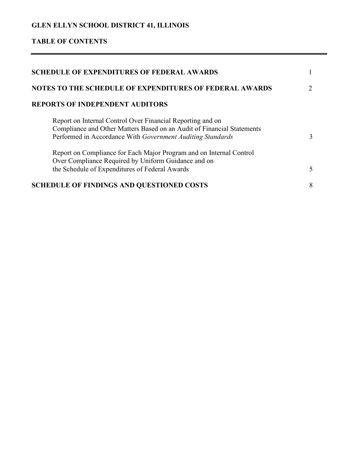# **TABLE OF CONTENTS**

| <b>SCHEDULE OF EXPENDITURES OF FEDERAL AWARDS</b>                                                                                                                                                  |   |
|----------------------------------------------------------------------------------------------------------------------------------------------------------------------------------------------------|---|
| <b>NOTES TO THE SCHEDULE OF EXPENDITURES OF FEDERAL AWARDS</b>                                                                                                                                     |   |
| <b>REPORTS OF INDEPENDENT AUDITORS</b>                                                                                                                                                             |   |
| Report on Internal Control Over Financial Reporting and on<br>Compliance and Other Matters Based on an Audit of Financial Statements<br>Performed in Accordance With Government Auditing Standards | 3 |
| Report on Compliance for Each Major Program and on Internal Control<br>Over Compliance Required by Uniform Guidance and on<br>the Schedule of Expenditures of Federal Awards                       | 5 |
| <b>SCHEDULE OF FINDINGS AND QUESTIONED COSTS</b>                                                                                                                                                   | 8 |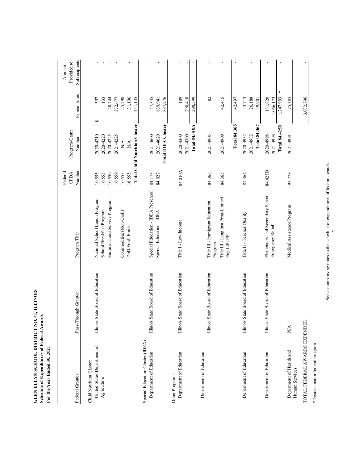|                                            |                                        |                                                  | Federal<br>CFDA |                                      |                      | Provided to<br>Amount |
|--------------------------------------------|----------------------------------------|--------------------------------------------------|-----------------|--------------------------------------|----------------------|-----------------------|
| Federal Grantor                            | Pass-Through Grantor                   | Program Title                                    | Number          | Program/Grant<br>Number              | Expenditures         | Subrecipients         |
| Child Nutrition Cluster                    |                                        |                                                  |                 |                                      |                      |                       |
| United States Department of                | State Board of Education<br>Illinois S | National School Lunch Program                    | 10.555          | 2020-4210                            | 597<br>$\Theta$      |                       |
| Agriculture                                |                                        | School Breakfast Program                         | 10.553          | 2020-4220                            | 133                  | $\blacksquare$        |
|                                            |                                        | Summer Food Service Program                      | 10.559          | 2020-4225                            | 20,744               | $\blacksquare$        |
|                                            |                                        |                                                  | 10.559          | 2021-4225                            | 372,677              | $\blacksquare$        |
|                                            |                                        | Commodities (Non-Cash)                           | 10.555          | $\mathop{\mathbb{N}}\nolimits$       | 25,798               | $\blacksquare$        |
|                                            |                                        | <b>DoD</b> Fresh Fruits                          | 10.555          | $\mathbf{N}\mathbf{A}$               | 31,196               | $\blacksquare$        |
|                                            |                                        |                                                  |                 | <b>Total Child Nutrition Cluster</b> | 451,145              | $\mathbf{I}$          |
| Special Education Cluster (IDEA)           |                                        |                                                  |                 |                                      |                      |                       |
| Department of Education                    | State Board of Education<br>Illinois S | Special Education - IDEA Preschool               | 84.173          | 20214600                             | 47,335               |                       |
|                                            |                                        | Special Education - IDEA                         | 84.027          | 20214620                             | 839,941              | $\blacksquare$        |
|                                            |                                        |                                                  |                 | <b>Total IDEA Cluster</b>            | 887,276              | J,                    |
| Other Programs                             |                                        |                                                  |                 |                                      |                      |                       |
| Department of Education                    | State Board of Education<br>Illinois   | Title I - Low Income                             | 84.010A         | 2020-4300                            | 189                  | ı                     |
|                                            |                                        |                                                  |                 | 2021-4300                            | 298,410              |                       |
|                                            |                                        |                                                  |                 | <b>Total 84.010A</b>                 | 298,599              |                       |
| Department of Education                    |                                        |                                                  |                 |                                      |                      |                       |
|                                            | State Board of Education<br>Illinois   | Title III - Immigrant Education<br>Program       | 84.365          | 2021-4905                            | 82                   |                       |
|                                            |                                        | Title III - Lang Inst Prog-Limited<br>Eng LIPLEP | 84.365          | 2021-4909                            | 42,415               |                       |
|                                            |                                        |                                                  |                 | Total 84.365                         | 42,497               | $\blacksquare$        |
| Department of Education                    | State Board of Education<br>Illinois S | Title II - Teacher Quality                       | 84.367          | 2020-4932                            | 3,713                |                       |
|                                            |                                        |                                                  |                 | 2021-4932                            | 26,188               |                       |
|                                            |                                        |                                                  |                 | Total 84.367                         | 29,901               |                       |
| Department of Education                    | State Board of Education<br>Illinois   | Elementary and Secondary School                  | 84.425D         | 2020-4998                            | 181,820              |                       |
|                                            |                                        | Emergency Relief                                 |                 | 2021-4998                            | 1,066,173            |                       |
|                                            |                                        |                                                  |                 | Total 84.425D                        | $\star$<br>1,247,993 |                       |
| Department of Health and<br>Human Services | N/A                                    | Medical Assistance Program                       | 93.778          | 2021-4991                            | 75,385               |                       |
| TOTAL FEDERAL AWARDS EXPENDED              |                                        |                                                  |                 |                                      | 3,032,796            |                       |
| *Denotes major federal program             |                                        |                                                  |                 |                                      |                      |                       |

**Schedule of Expenditures of Federal Awards**

**GLEN ELLYN SCHOOL DISTRICT NO. 41, ILLINOIS**<br>Schedule of Expenditures of Federal Awards<br>For the Year Ended 30, 2021

**For the Year Ended 30, 2021**

See accompanying notes to the schedule of expenditures of federal awards. See accompanying notes to the schedule of expenditures of federal awards.

 $\leftarrow$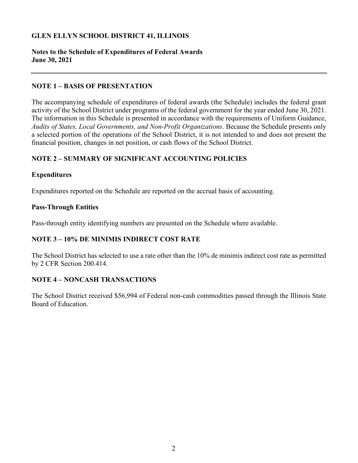#### **Notes to the Schedule of Expenditures of Federal Awards June 30, 2021**

#### **NOTE 1 – BASIS OF PRESENTATION**

The accompanying schedule of expenditures of federal awards (the Schedule) includes the federal grant activity of the School District under programs of the federal government for the year ended June 30, 2021. The information in this Schedule is presented in accordance with the requirements of Uniform Guidance, *Audits of States, Local Governments, and Non-Profit Organizations*. Because the Schedule presents only a selected portion of the operations of the School District, it is not intended to and does not present the financial position, changes in net position, or cash flows of the School District.

#### **NOTE 2 – SUMMARY OF SIGNIFICANT ACCOUNTING POLICIES**

#### **Expenditures**

Expenditures reported on the Schedule are reported on the accrual basis of accounting.

#### **Pass-Through Entities**

Pass-through entity identifying numbers are presented on the Schedule where available.

#### **NOTE 3 – 10% DE MINIMIS INDIRECT COST RATE**

The School District has selected to use a rate other than the 10% de minimis indirect cost rate as permitted by 2 CFR Section 200.414.

#### **NOTE 4 – NONCASH TRANSACTIONS**

The School District received \$56,994 of Federal non-cash commodities passed through the Illinois State Board of Education.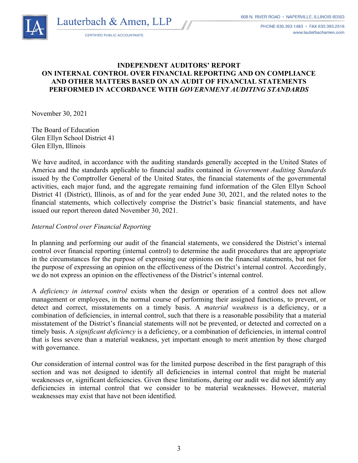PHONE 630.393.1483 · FAX 630.393.2516 www.lauterbachamen.com





CERTIFIED PUBLIC ACCOUNTANTS

#### **INDEPENDENT AUDITORS' REPORT ON INTERNAL CONTROL OVER FINANCIAL REPORTING AND ON COMPLIANCE AND OTHER MATTERS BASED ON AN AUDIT OF FINANCIAL STATEMENTS PERFORMED IN ACCORDANCE WITH** *GOVERNMENT AUDITING STANDARDS*

November 30, 2021

The Board of Education Glen Ellyn School District 41 Glen Ellyn, Illinois

We have audited, in accordance with the auditing standards generally accepted in the United States of America and the standards applicable to financial audits contained in *Government Auditing Standards* issued by the Comptroller General of the United States, the financial statements of the governmental activities, each major fund, and the aggregate remaining fund information of the Glen Ellyn School District 41 (District), Illinois, as of and for the year ended June 30, 2021, and the related notes to the financial statements, which collectively comprise the District's basic financial statements, and have issued our report thereon dated November 30, 2021.

#### *Internal Control over Financial Reporting*

In planning and performing our audit of the financial statements, we considered the District's internal control over financial reporting (internal control) to determine the audit procedures that are appropriate in the circumstances for the purpose of expressing our opinions on the financial statements, but not for the purpose of expressing an opinion on the effectiveness of the District's internal control. Accordingly, we do not express an opinion on the effectiveness of the District's internal control.

A *deficiency in internal control* exists when the design or operation of a control does not allow management or employees, in the normal course of performing their assigned functions, to prevent, or detect and correct, misstatements on a timely basis. A *material weakness* is a deficiency, or a combination of deficiencies, in internal control, such that there is a reasonable possibility that a material misstatement of the District's financial statements will not be prevented, or detected and corrected on a timely basis. A *significant deficiency* is a deficiency, or a combination of deficiencies, in internal control that is less severe than a material weakness, yet important enough to merit attention by those charged with governance.

Our consideration of internal control was for the limited purpose described in the first paragraph of this section and was not designed to identify all deficiencies in internal control that might be material weaknesses or, significant deficiencies. Given these limitations, during our audit we did not identify any deficiencies in internal control that we consider to be material weaknesses. However, material weaknesses may exist that have not been identified.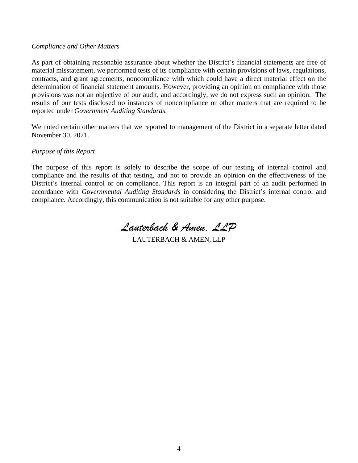#### *Compliance and Other Matters*

As part of obtaining reasonable assurance about whether the District's financial statements are free of material misstatement, we performed tests of its compliance with certain provisions of laws, regulations, contracts, and grant agreements, noncompliance with which could have a direct material effect on the determination of financial statement amounts. However, providing an opinion on compliance with those provisions was not an objective of our audit, and accordingly, we do not express such an opinion. The results of our tests disclosed no instances of noncompliance or other matters that are required to be reported under *Government Auditing Standards.*

We noted certain other matters that we reported to management of the District in a separate letter dated November 30, 2021.

#### *Purpose of this Report*

The purpose of this report is solely to describe the scope of our testing of internal control and compliance and the results of that testing, and not to provide an opinion on the effectiveness of the District's internal control or on compliance. This report is an integral part of an audit performed in accordance with *Governmental Auditing Standards* in considering the District's internal control and compliance. Accordingly, this communication is not suitable for any other purpose.

*Lauterbach & Amen, LLP*

LAUTERBACH & AMEN, LLP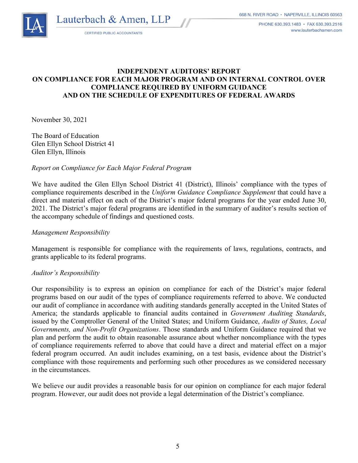PHONE 630.393.1483 · FAX 630.393.2516 www.lauterbachamen.com



#### **INDEPENDENT AUDITORS' REPORT ON COMPLIANCE FOR EACH MAJOR PROGRAM AND ON INTERNAL CONTROL OVER COMPLIANCE REQUIRED BY UNIFORM GUIDANCE AND ON THE SCHEDULE OF EXPENDITURES OF FEDERAL AWARDS**

November 30, 2021

The Board of Education Glen Ellyn School District 41 Glen Ellyn, Illinois

#### *Report on Compliance for Each Major Federal Program*

We have audited the Glen Ellyn School District 41 (District), Illinois' compliance with the types of compliance requirements described in the *Uniform Guidance Compliance Supplement* that could have a direct and material effect on each of the District's major federal programs for the year ended June 30, 2021. The District's major federal programs are identified in the summary of auditor's results section of the accompany schedule of findings and questioned costs.

#### *Management Responsibility*

Management is responsible for compliance with the requirements of laws, regulations, contracts, and grants applicable to its federal programs.

#### *Auditor's Responsibility*

Our responsibility is to express an opinion on compliance for each of the District's major federal programs based on our audit of the types of compliance requirements referred to above. We conducted our audit of compliance in accordance with auditing standards generally accepted in the United States of America; the standards applicable to financial audits contained in *Government Auditing Standards*, issued by the Comptroller General of the United States; and Uniform Guidance, *Audits of States, Local Governments, and Non-Profit Organizations*. Those standards and Uniform Guidance required that we plan and perform the audit to obtain reasonable assurance about whether noncompliance with the types of compliance requirements referred to above that could have a direct and material effect on a major federal program occurred. An audit includes examining, on a test basis, evidence about the District's compliance with those requirements and performing such other procedures as we considered necessary in the circumstances.

We believe our audit provides a reasonable basis for our opinion on compliance for each major federal program. However, our audit does not provide a legal determination of the District's compliance.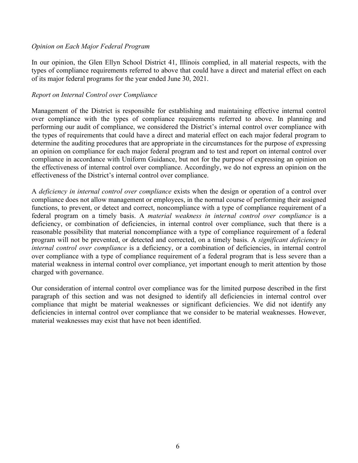#### *Opinion on Each Major Federal Program*

In our opinion, the Glen Ellyn School District 41, Illinois complied, in all material respects, with the types of compliance requirements referred to above that could have a direct and material effect on each of its major federal programs for the year ended June 30, 2021.

#### *Report on Internal Control over Compliance*

Management of the District is responsible for establishing and maintaining effective internal control over compliance with the types of compliance requirements referred to above. In planning and performing our audit of compliance, we considered the District's internal control over compliance with the types of requirements that could have a direct and material effect on each major federal program to determine the auditing procedures that are appropriate in the circumstances for the purpose of expressing an opinion on compliance for each major federal program and to test and report on internal control over compliance in accordance with Uniform Guidance, but not for the purpose of expressing an opinion on the effectiveness of internal control over compliance. Accordingly, we do not express an opinion on the effectiveness of the District's internal control over compliance.

A *deficiency in internal control over compliance* exists when the design or operation of a control over compliance does not allow management or employees, in the normal course of performing their assigned functions, to prevent, or detect and correct, noncompliance with a type of compliance requirement of a federal program on a timely basis. A *material weakness in internal control over compliance* is a deficiency, or combination of deficiencies, in internal control over compliance, such that there is a reasonable possibility that material noncompliance with a type of compliance requirement of a federal program will not be prevented, or detected and corrected, on a timely basis. A *significant deficiency in internal control over compliance* is a deficiency, or a combination of deficiencies, in internal control over compliance with a type of compliance requirement of a federal program that is less severe than a material weakness in internal control over compliance, yet important enough to merit attention by those charged with governance.

Our consideration of internal control over compliance was for the limited purpose described in the first paragraph of this section and was not designed to identify all deficiencies in internal control over compliance that might be material weaknesses or significant deficiencies. We did not identify any deficiencies in internal control over compliance that we consider to be material weaknesses. However, material weaknesses may exist that have not been identified.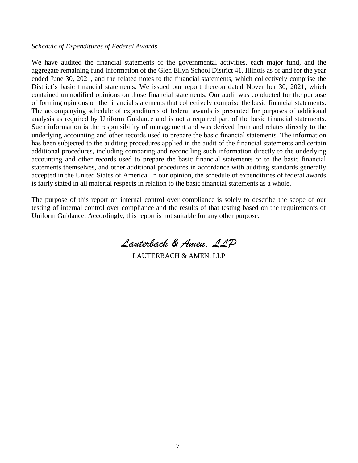#### *Schedule of Expenditures of Federal Awards*

We have audited the financial statements of the governmental activities, each major fund, and the aggregate remaining fund information of the Glen Ellyn School District 41, Illinois as of and for the year ended June 30, 2021, and the related notes to the financial statements, which collectively comprise the District's basic financial statements. We issued our report thereon dated November 30, 2021, which contained unmodified opinions on those financial statements. Our audit was conducted for the purpose of forming opinions on the financial statements that collectively comprise the basic financial statements. The accompanying schedule of expenditures of federal awards is presented for purposes of additional analysis as required by Uniform Guidance and is not a required part of the basic financial statements. Such information is the responsibility of management and was derived from and relates directly to the underlying accounting and other records used to prepare the basic financial statements. The information has been subjected to the auditing procedures applied in the audit of the financial statements and certain additional procedures, including comparing and reconciling such information directly to the underlying accounting and other records used to prepare the basic financial statements or to the basic financial statements themselves, and other additional procedures in accordance with auditing standards generally accepted in the United States of America. In our opinion, the schedule of expenditures of federal awards is fairly stated in all material respects in relation to the basic financial statements as a whole.

The purpose of this report on internal control over compliance is solely to describe the scope of our testing of internal control over compliance and the results of that testing based on the requirements of Uniform Guidance. Accordingly, this report is not suitable for any other purpose.

*Lauterbach & Amen, LLP*

LAUTERBACH & AMEN, LLP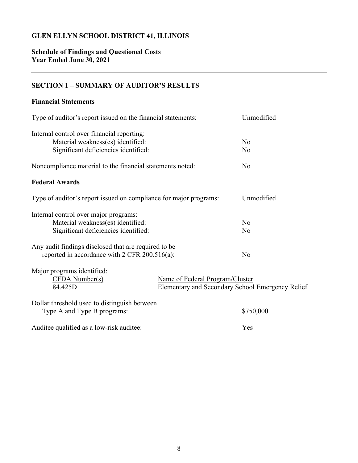#### **Schedule of Findings and Questioned Costs Year Ended June 30, 2021**

### **SECTION 1 – SUMMARY OF AUDITOR'S RESULTS**

#### **Financial Statements**

| Type of auditor's report issued on the financial statements:      |                                                  | Unmodified     |
|-------------------------------------------------------------------|--------------------------------------------------|----------------|
| Internal control over financial reporting:                        |                                                  |                |
| Material weakness(es) identified:                                 |                                                  | N <sub>o</sub> |
| Significant deficiencies identified:                              |                                                  | N <sub>o</sub> |
| Noncompliance material to the financial statements noted:         |                                                  | N <sub>o</sub> |
| <b>Federal Awards</b>                                             |                                                  |                |
| Type of auditor's report issued on compliance for major programs: |                                                  | Unmodified     |
| Internal control over major programs:                             |                                                  |                |
| Material weakness(es) identified:                                 |                                                  | No             |
| Significant deficiencies identified:                              |                                                  | N <sub>o</sub> |
| Any audit findings disclosed that are required to be              |                                                  |                |
| reported in accordance with 2 CFR 200.516(a):                     |                                                  | N <sub>o</sub> |
| Major programs identified:                                        |                                                  |                |
| Name of Federal Program/Cluster<br>$CFDA$ Number(s)               |                                                  |                |
| 84.425D                                                           | Elementary and Secondary School Emergency Relief |                |
| Dollar threshold used to distinguish between                      |                                                  |                |
| Type A and Type B programs:                                       |                                                  | \$750,000      |
| Auditee qualified as a low-risk auditee:                          |                                                  | Yes            |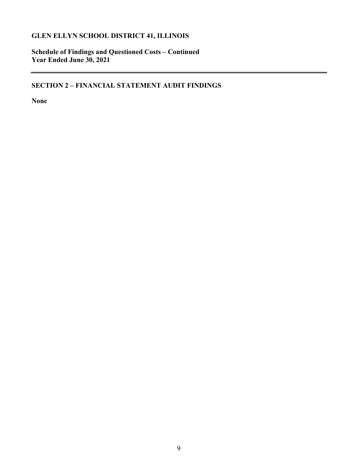**Schedule of Findings and Questioned Costs – Continued Year Ended June 30, 2021**

**SECTION 2 – FINANCIAL STATEMENT AUDIT FINDINGS**

**None**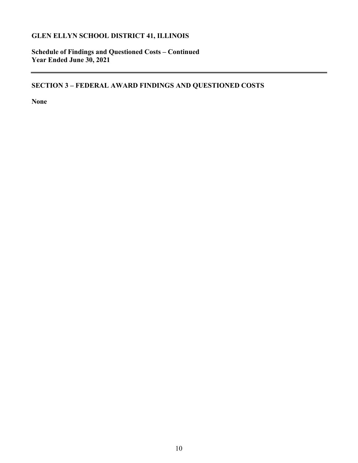**Schedule of Findings and Questioned Costs – Continued Year Ended June 30, 2021**

**SECTION 3 – FEDERAL AWARD FINDINGS AND QUESTIONED COSTS**

**None**